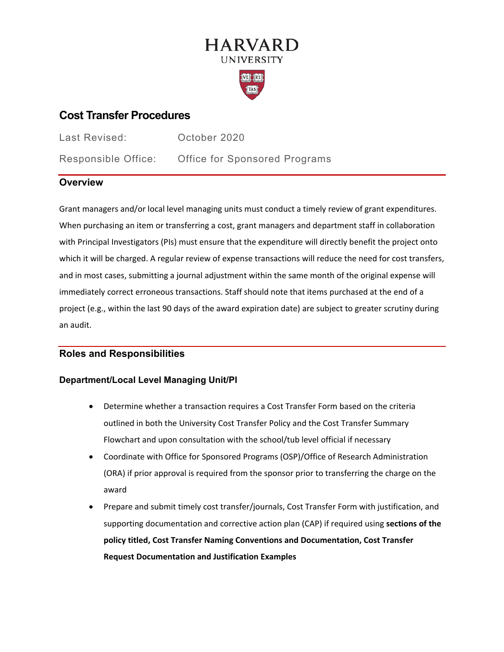# **HARVARD UNIVERSITY**



# **Cost Transfer Procedures**

Last Revised: October 2020

Responsible Office: Office for Sponsored Programs

## **Overview**

Grant managers and/or local level managing units must conduct a timely review of grant expenditures. When purchasing an item or transferring a cost, grant managers and department staff in collaboration with Principal Investigators (PIs) must ensure that the expenditure will directly benefit the project onto which it will be charged. A regular review of expense transactions will reduce the need for cost transfers, and in most cases, submitting a journal adjustment within the same month of the original expense will immediately correct erroneous transactions. Staff should note that items purchased at the end of a project (e.g., within the last 90 days of the award expiration date) are subject to greater scrutiny during an audit.

### **Roles and Responsibilities**

### **Department/Local Level Managing Unit/PI**

- Determine whether a transaction requires a Cost Transfer Form based on the criteria outlined in both the University Cost Transfer Policy and the Cost Transfer Summary Flowchart and upon consultation with the school/tub level official if necessary
- Coordinate with Office for Sponsored Programs (OSP)/Office of Research Administration (ORA) if prior approval is required from the sponsor prior to transferring the charge on the award
- Prepare and submit timely cost transfer/journals, Cost Transfer Form with justification, and supporting documentation and corrective action plan (CAP) if required using **sections of the policy titled, Cost Transfer Naming Conventions and Documentation, Cost Transfer Request Documentation and Justification Examples**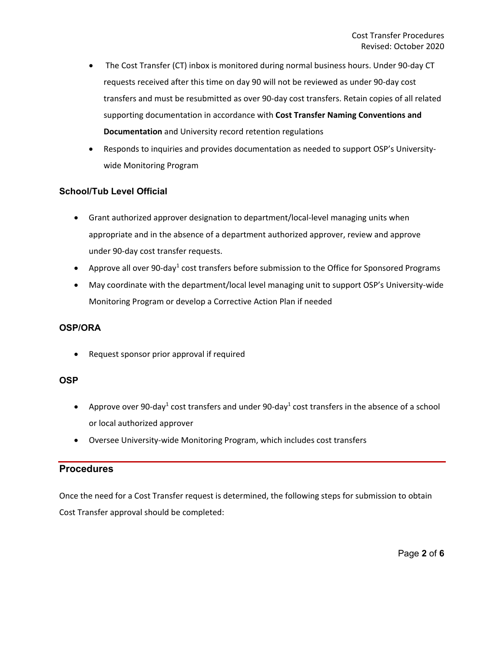- The Cost Transfer (CT) inbox is monitored during normal business hours. Under 90-day CT requests received after this time on day 90 will not be reviewed as under 90-day cost transfers and must be resubmitted as over 90-day cost transfers. Retain copies of all related supporting documentation in accordance with **Cost Transfer Naming Conventions and Documentation** and University record retention regulations
- Responds to inquiries and provides documentation as needed to support OSP's Universitywide Monitoring Program

#### **School/Tub Level Official**

- Grant authorized approver designation to department/local-level managing units when appropriate and in the absence of a department authorized approver, review and approve under 90-day cost transfer requests.
- Approve all over 90-day<sup>1</sup> cost transfers before submission to the Office for Sponsored Programs
- May coordinate with the department/local level managing unit to support OSP's University-wide Monitoring Program or develop a Corrective Action Plan if needed

#### **OSP/ORA**

• Request sponsor prior approval if required

#### **OSP**

- Approve over 90-day<sup>1</sup> cost transfers and under 90-day<sup>1</sup> cost transfers in the absence of a school or local authorized approver
- Oversee University-wide Monitoring Program, which includes cost transfers

### **Procedures**

Once the need for a Cost Transfer request is determined, the following steps for submission to obtain Cost Transfer approval should be completed: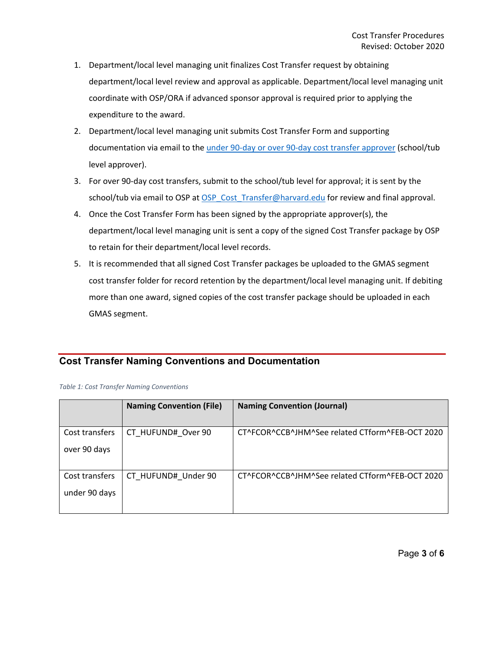- 1. Department/local level managing unit finalizes Cost Transfer request by obtaining department/local level review and approval as applicable. Department/local level managing unit coordinate with OSP/ORA if advanced sponsor approval is required prior to applying the expenditure to the award.
- 2. Department/local level managing unit submits Cost Transfer Form and supporting documentation via email to the [under 90-day or over 90-day cost transfer approver](https://osp.finance.harvard.edu/cost-transfer-process#Approvers) (school/tub level approver).
- 3. For over 90-day cost transfers, submit to the school/tub level for approval; it is sent by the school/tub via email to OSP at [OSP\\_Cost\\_Transfer@harvard.edu](mailto:OSP_Cost_Transfer@harvard.edu) for review and final approval.
- 4. Once the Cost Transfer Form has been signed by the appropriate approver(s), the department/local level managing unit is sent a copy of the signed Cost Transfer package by OSP to retain for their department/local level records.
- 5. It is recommended that all signed Cost Transfer packages be uploaded to the GMAS segment cost transfer folder for record retention by the department/local level managing unit. If debiting more than one award, signed copies of the cost transfer package should be uploaded in each GMAS segment.

### **Cost Transfer Naming Conventions and Documentation**

*Table 1: Cost Transfer Naming Conventions*

|                                 | <b>Naming Convention (File)</b> | <b>Naming Convention (Journal)</b>              |
|---------------------------------|---------------------------------|-------------------------------------------------|
| Cost transfers<br>over 90 days  | CT HUFUND# Over 90              | CT^FCOR^CCB^JHM^See related CTform^FEB-OCT 2020 |
| Cost transfers<br>under 90 days | CT HUFUND# Under 90             | CT^FCOR^CCB^JHM^See related CTform^FEB-OCT 2020 |

Page **3** of **6**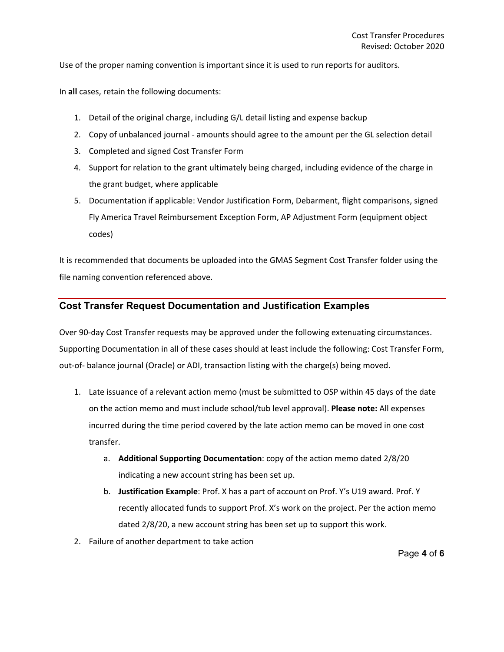Use of the proper naming convention is important since it is used to run reports for auditors.

In **all** cases, retain the following documents:

- 1. Detail of the original charge, including G/L detail listing and expense backup
- 2. Copy of unbalanced journal amounts should agree to the amount per the GL selection detail
- 3. Completed and signed Cost Transfer Form
- 4. Support for relation to the grant ultimately being charged, including evidence of the charge in the grant budget, where applicable
- 5. Documentation if applicable: Vendor Justification Form, Debarment, flight comparisons, signed Fly America Travel Reimbursement Exception Form, AP Adjustment Form (equipment object codes)

It is recommended that documents be uploaded into the GMAS Segment Cost Transfer folder using the file naming convention referenced above.

#### **Cost Transfer Request Documentation and Justification Examples**

Over 90-day Cost Transfer requests may be approved under the following extenuating circumstances. Supporting Documentation in all of these cases should at least include the following: Cost Transfer Form, out-of- balance journal (Oracle) or ADI, transaction listing with the charge(s) being moved.

- 1. Late issuance of a relevant action memo (must be submitted to OSP within 45 days of the date on the action memo and must include school/tub level approval). **Please note:** All expenses incurred during the time period covered by the late action memo can be moved in one cost transfer.
	- a. **Additional Supporting Documentation**: copy of the action memo dated 2/8/20 indicating a new account string has been set up.
	- b. **Justification Example**: Prof. X has a part of account on Prof. Y's U19 award. Prof. Y recently allocated funds to support Prof. X's work on the project. Per the action memo dated 2/8/20, a new account string has been set up to support this work.
- 2. Failure of another department to take action

Page **4** of **6**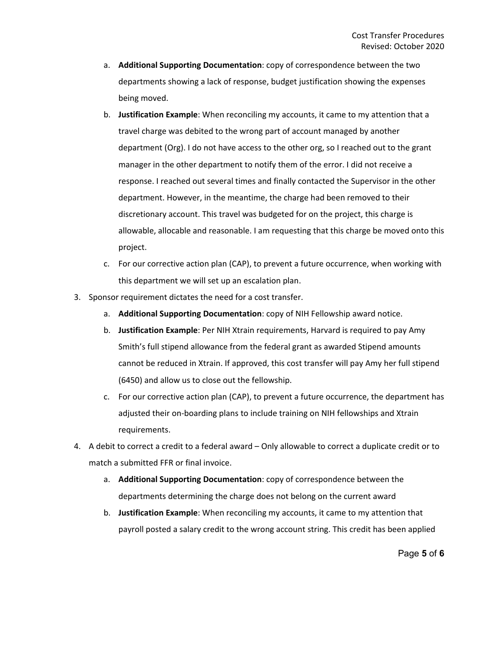- a. **Additional Supporting Documentation**: copy of correspondence between the two departments showing a lack of response, budget justification showing the expenses being moved.
- b. **Justification Example**: When reconciling my accounts, it came to my attention that a travel charge was debited to the wrong part of account managed by another department (Org). I do not have access to the other org, so I reached out to the grant manager in the other department to notify them of the error. I did not receive a response. I reached out several times and finally contacted the Supervisor in the other department. However, in the meantime, the charge had been removed to their discretionary account. This travel was budgeted for on the project, this charge is allowable, allocable and reasonable. I am requesting that this charge be moved onto this project.
- c. For our corrective action plan (CAP), to prevent a future occurrence, when working with this department we will set up an escalation plan.
- 3. Sponsor requirement dictates the need for a cost transfer.
	- a. **Additional Supporting Documentation**: copy of NIH Fellowship award notice.
	- b. **Justification Example**: Per NIH Xtrain requirements, Harvard is required to pay Amy Smith's full stipend allowance from the federal grant as awarded Stipend amounts cannot be reduced in Xtrain. If approved, this cost transfer will pay Amy her full stipend (6450) and allow us to close out the fellowship.
	- c. For our corrective action plan (CAP), to prevent a future occurrence, the department has adjusted their on-boarding plans to include training on NIH fellowships and Xtrain requirements.
- 4. A debit to correct a credit to a federal award Only allowable to correct a duplicate credit or to match a submitted FFR or final invoice.
	- a. **Additional Supporting Documentation**: copy of correspondence between the departments determining the charge does not belong on the current award
	- b. **Justification Example**: When reconciling my accounts, it came to my attention that payroll posted a salary credit to the wrong account string. This credit has been applied

Page **5** of **6**